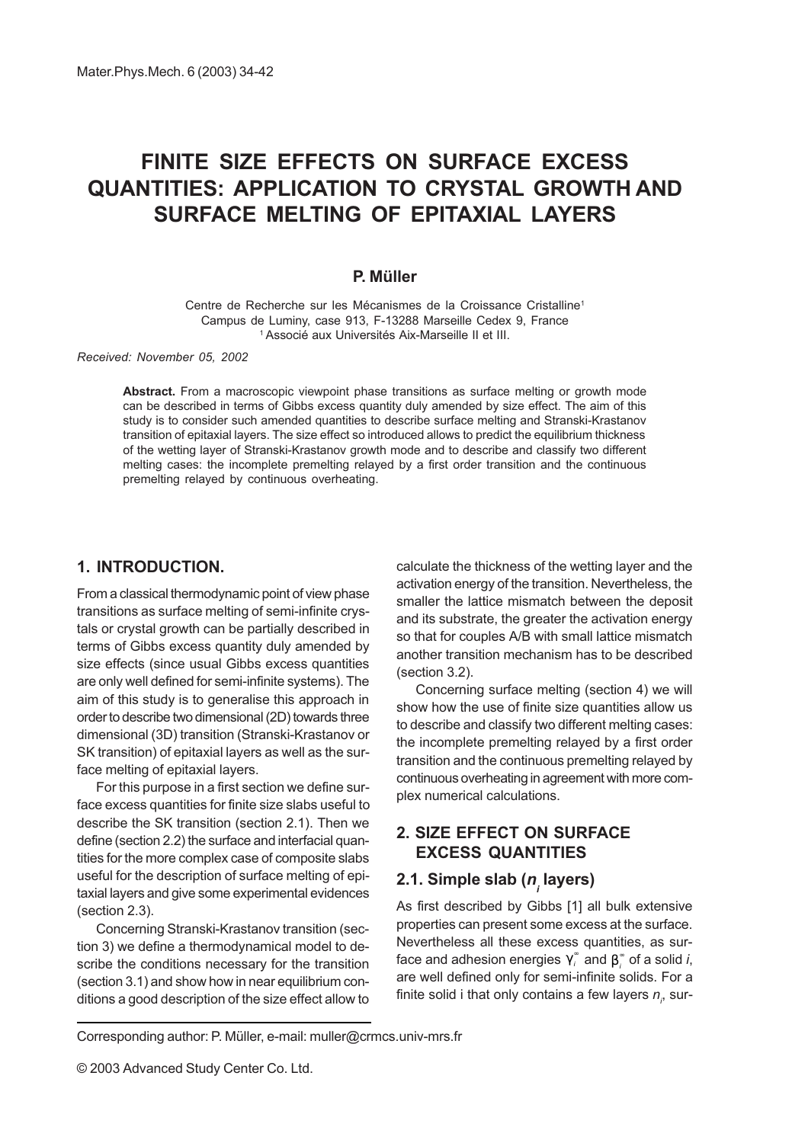# FINITE SIZE EFFECTS ON SURFACE EXCESS QUANTITIES: APPLICATION TO CRYSTAL GROWTH AND SURFACE MELTING OF EPITAXIAL LAYERS

#### P. Müller

Centre de Recherche sur les Mécanismes de la Croissance Cristalline1 Campus de Luminy, case 913, F-13288 Marseille Cedex 9, France <sup>1</sup> Associé aux Universités Aix-Marseille II et III.

Received: November 05, 2002

Abstract. From a macroscopic viewpoint phase transitions as surface melting or growth mode can be described in terms of Gibbs excess quantity duly amended by size effect. The aim of this study is to consider such amended quantities to describe surface melting and Stranski-Krastanov transition of epitaxial layers. The size effect so introduced allows to predict the equilibrium thickness of the wetting layer of Stranski-Krastanov growth mode and to describe and classify two different melting cases: the incomplete premelting relayed by a first order transition and the continuous premelting relayed by continuous overheating.

### 1. INTRODUCTION.

From a classical thermodynamic point of view phase transitions as surface melting of semi-infinite crystals or crystal growth can be partially described in terms of Gibbs excess quantity duly amended by size effects (since usual Gibbs excess quantities are only well defined for semi-infinite systems). The aim of this study is to generalise this approach in order to describe two dimensional (2D) towards three dimensional (3D) transition (Stranski-Krastanov or SK transition) of epitaxial layers as well as the surface melting of epitaxial layers.

For this purpose in a first section we define surface excess quantities for finite size slabs useful to describe the SK transition (section 2.1). Then we define (section 2.2) the surface and interfacial quantities for the more complex case of composite slabs useful for the description of surface melting of epitaxial layers and give some experimental evidences (section 2.3).

Concerning Stranski-Krastanov transition (section 3) we define a thermodynamical model to describe the conditions necessary for the transition (section 3.1) and show how in near equilibrium conditions a good description of the size effect allow to calculate the thickness of the wetting layer and the activation energy of the transition. Nevertheless, the smaller the lattice mismatch between the deposit and its substrate, the greater the activation energy so that for couples A/B with small lattice mismatch another transition mechanism has to be described (section 3.2).

Concerning surface melting (section 4) we will show how the use of finite size quantities allow us to describe and classify two different melting cases: the incomplete premelting relayed by a first order transition and the continuous premelting relayed by continuous overheating in agreement with more complex numerical calculations.

## 2. SIZE EFFECT ON SURFACE EXCESS QUANTITIES

## 2.1. Simple slab (*n<sub>,</sub>* layers)

As first described by Gibbs [1] all bulk extensive properties can present some excess at the surface. Nevertheless all these excess quantities, as surface and adhesion energies  $\gamma_i^\ast$  and  $\beta_i^\ast$  of a solid  $i,$ are well defined only for semi-infinite solids. For a finite solid i that only contains a few layers  $n_{_{l^{\prime}}}$  sur-

Corresponding author: P. Müller, e-mail: muller@crmcs.univ-mrs.fr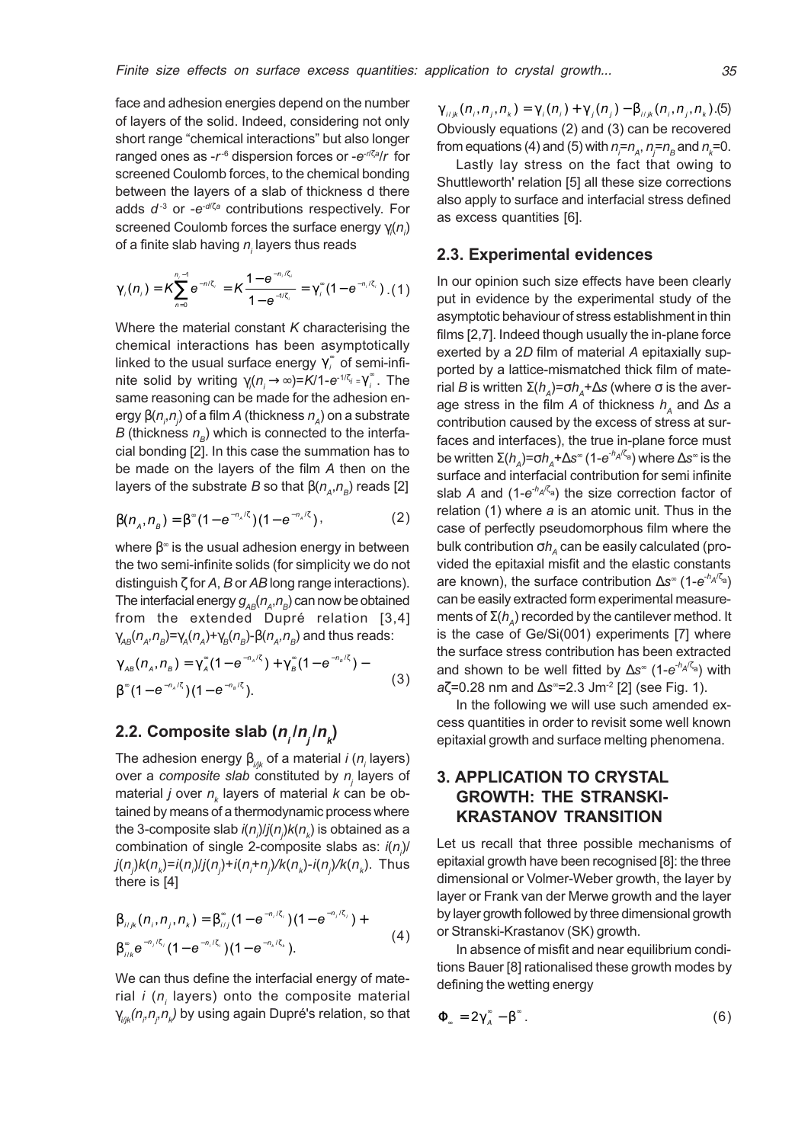face and adhesion energies depend on the number of layers of the solid. Indeed, considering not only short range "chemical interactions" but also longer ranged ones as -r<sup>-6</sup> dispersion forces or -e<sup>-//ζa</sup>/r for screened Coulomb forces, to the chemical bonding between the layers of a slab of thickness d there adds  $d^{-3}$  or -e<sup>-d/ζa</sup> contributions respectively. For screened Coulomb forces the surface energy  $\gamma_{\scriptscriptstyle i}^{} (n_{\scriptscriptstyle j}^{})$ of a finite slab having  $n_{_{\!I}}$  layers thus reads

$$
\gamma_i(n_i) = K \sum_{n=0}^{n_i-1} e^{-n_i \zeta_i} = K \frac{1 - e^{-n_i \zeta_i}}{1 - e^{-n_i \zeta_i}} = \gamma_i^{\infty} (1 - e^{-n_i \zeta_i}). \tag{1}
$$

Where the material constant  $K$  characterising the chemical interactions has been asymptotically linked to the usual surface energy  $\gamma_i^*$  of semi-infinite solid by writing  $\gamma_i(n_i \rightarrow \infty) = K/1 - e^{-1/\zeta_i} = \gamma_i^{\infty}$ . The same reasoning can be made for the adhesion energy β( $n_{_{i}}$ , $n_{_{j}}$ ) of a film  $A$  (thickness  $n_{_{A}}$ ) on a substrate B (thickness  $n<sub>s</sub>$ ) which is connected to the interfacial bonding [2]. In this case the summation has to be made on the layers of the film A then on the layers of the substrate B so that  $\beta(n_A,n_B)$  reads [2]

$$
\beta(n_A, n_B) = \beta^{\infty} (1 - e^{-n_A/\zeta}) (1 - e^{-n_A/\zeta}),
$$
 (2)

where  $\beta^{\infty}$  is the usual adhesion energy in between the two semi-infinite solids (for simplicity we do not distinguish  $\zeta$  for A, B or AB long range interactions). The interfacial energy  $g_{AB}(n_A,n_B)$  can now be obtained from the extended Dupré relation [3,4]  $\gamma_{AB}(n_{A},n_{B})=\gamma_{A}(n_{A})+\gamma_{B}(n_{B})-\beta(n_{A},n_{B})$  and thus reads:

$$
\gamma_{AB}(n_A, n_B) = \gamma_A^*(1 - e^{-n_A/\zeta}) + \gamma_B^*(1 - e^{-n_B/\zeta}) - \beta^*(1 - e^{-n_A/\zeta})(1 - e^{-n_B/\zeta}). \tag{3}
$$

## 2.2. Composite slab (*nˌln<sub>ˌ</sub>ln<sub>ˌ</sub>l*

The adhesion energy  $\beta_{\scriptscriptstyle i\! j\! j\! k}$  of a material *i (n<sub>i</sub>* layers) over a *composite slab* constituted by  $n_{\!\scriptscriptstyle f}$  layers of material *j* over  $n_k$  layers of material  $k$  can be obtained by means of a thermodynamic process where the 3-composite slab *i* $(n_{_\textit{\scriptsize{j}}})$ *j(n<sub>j</sub>)k(n<sub>k</sub>) is obtained as a* combination of single 2-composite slabs as:  $i(n_j)$ / *j(n<sub>j</sub>)k(n<sub>k</sub>)=i(n<sub>j</sub>)/j(n<sub>j</sub>)+i(n<sub>i</sub>+n<sub>j</sub>)/k(n<sub>k</sub>)-<i>i(n<sub>j</sub>)/k(n<sub>k</sub>).* Thus there is [4]

$$
\beta_{ijk}(n_i, n_j, n_k) = \beta_{ij}^* (1 - e^{-n_i/\zeta_i}) (1 - e^{-n_j/\zeta_j}) + \n\beta_{ijk}^* e^{-n_j/\zeta_j} (1 - e^{-n_i/\zeta_i}) (1 - e^{-n_k/\zeta_k}).
$$
\n(4)

We can thus define the interfacial energy of material *i (n<sub>i</sub>* layers) onto the composite material  $\gamma_{\scriptscriptstyle i\! j\! j\! k}\!(\! n_{\scriptscriptstyle j\!},\! n_{\scriptscriptstyle k\!})$  by using again Dupré's relation, so that  $\gamma_{ijk}(n_i, n_i, n_k) = \gamma_i(n_i) + \gamma_i(n_i) - \beta_{ijk}(n_i, n_i, n_k)$ .(5) Obviously equations (2) and (3) can be recovered from equations (4) and (5) with  $n = r_A$ ,  $n = r_B$  and  $n_k = 0$ .

Lastly lay stress on the fact that owing to Shuttleworth' relation [5] all these size corrections also apply to surface and interfacial stress defined as excess quantities [6].

#### 2.3. Experimental evidences

In our opinion such size effects have been clearly put in evidence by the experimental study of the asymptotic behaviour of stress establishment in thin films [2,7]. Indeed though usually the in-plane force exerted by a 2D film of material A epitaxially supported by a lattice-mismatched thick film of material B is written  $\Sigma(h_A)=\sigma h_A+\Delta s$  (where σ is the average stress in the film A of thickness  $h_A$  and ∆s a contribution caused by the excess of stress at surfaces and interfaces), the true in-plane force must be written  $\Sigma(h_A)=\sigma h_A+\Delta s^{\infty}$  (1-e<sup>-h<sub>A</sub>/ζ<sub>a</sub>) where  $\Delta s^{\infty}$  is the</sup> surface and interfacial contribution for semi infinite slab A and  $(1-e^{-hA/\zeta_a})$  the size correction factor of relation (1) where a is an atomic unit. Thus in the case of perfectly pseudomorphous film where the bulk contribution  $\sigma h$  can be easily calculated (provided the epitaxial misfit and the elastic constants are known), the surface contribution  $\Delta s^{\infty}$  (1-e<sup>-h<sub>A</sub>/ $\zeta_{\rm a}$ )</sup> can be easily extracted form experimental measurements of  $\Sigma(h_A)$  recorded by the cantilever method. It is the case of Ge/Si(001) experiments [7] where the surface stress contribution has been extracted and shown to be well fitted by  $\Delta s^{\infty}$  (1-e<sup>-h<sub>A</sub>/ζ<sub>a</sub>) with</sup>  $a\zeta$ =0.28 nm and  $\Delta s$  =2.3 Jm<sup>-2</sup> [2] (see Fig. 1).

In the following we will use such amended excess quantities in order to revisit some well known epitaxial growth and surface melting phenomena.

## 3. APPLICATION TO CRYSTAL GROWTH: THE STRANSKI-KRASTANOV TRANSITION

Let us recall that three possible mechanisms of epitaxial growth have been recognised [8]: the three dimensional or Volmer-Weber growth, the layer by layer or Frank van der Merwe growth and the layer by layer growth followed by three dimensional growth or Stranski-Krastanov (SK) growth.

In absence of misfit and near equilibrium conditions Bauer [8] rationalised these growth modes by defining the wetting energy

$$
\mathbf{\Phi}_{\circ} = 2\gamma_{A}^{\circ} - \beta^{\circ} \,. \tag{6}
$$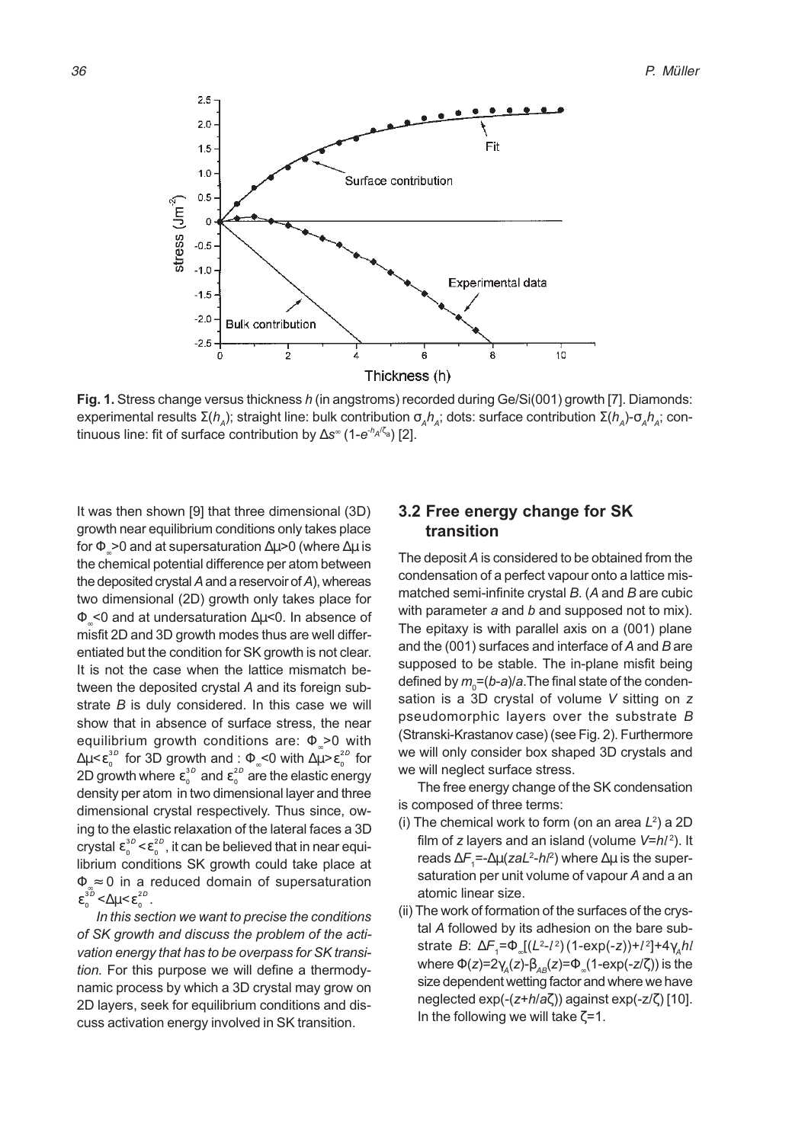

Fig. 1. Stress change versus thickness h (in angstroms) recorded during Ge/Si(001) growth [7]. Diamonds: experimental results  $\Sigma(h_A)$ ; straight line: bulk contribution  $\sigma_A h_A$ ; dots: surface contribution  $\Sigma(h_A)$ - $\sigma_A h_A$ ; continuous line: fit of surface contribution by  $\Delta s^{\infty}$  (1-e<sup>-h<sub>A</sub>/ζ<sub>a</sub>) [2].</sup>

It was then shown [9] that three dimensional (3D) growth near equilibrium conditions only takes place for  $\Phi > 0$  and at supersaturation  $\Delta \mu > 0$  (where  $\Delta \mu$  is the chemical potential difference per atom between the deposited crystal A and a reservoir of A), whereas two dimensional (2D) growth only takes place for Φ∞<0 and at undersaturation ∆µ<0. In absence of misfit 2D and 3D growth modes thus are well differentiated but the condition for SK growth is not clear. It is not the case when the lattice mismatch between the deposited crystal A and its foreign substrate B is duly considered. In this case we will show that in absence of surface stress, the near equilibrium growth conditions are:  $\Phi > 0$  with  $\Delta \mu$ < $\varepsilon^{3D}_0$  for 3D growth and : Φ $_{\circ}$ <0 with  $\Delta \mu$ > $\varepsilon^{2D}_0$  for 2D growth where  $\varepsilon_{_0}^{^{3D}}$  and  $\varepsilon_{_0}^{^{2D}}$  are the elastic energy density per atom in two dimensional layer and three dimensional crystal respectively. Thus since, owing to the elastic relaxation of the lateral faces a 3D crystal  $\epsilon_{\scriptscriptstyle 0}^{\scriptscriptstyle 3D}$  <  $\epsilon_{\scriptscriptstyle 0}^{\scriptscriptstyle 2D}$  , it can be believed that in near equilibrium conditions SK growth could take place at  $\Phi \approx 0$  in a reduced domain of supersaturation  $\epsilon_0^{3D} < \Delta \mu < \epsilon_0^{2D}$ .

In this section we want to precise the conditions of SK growth and discuss the problem of the activation energy that has to be overpass for SK transition. For this purpose we will define a thermodynamic process by which a 3D crystal may grow on 2D layers, seek for equilibrium conditions and discuss activation energy involved in SK transition.

## 3.2 Free energy change for SK transition

The deposit A is considered to be obtained from the condensation of a perfect vapour onto a lattice mismatched semi-infinite crystal  $B$ . (A and  $B$  are cubic with parameter  $a$  and  $b$  and supposed not to mix). The epitaxy is with parallel axis on a (001) plane and the (001) surfaces and interface of A and B are supposed to be stable. The in-plane misfit being defined by  $m_{_0}{=}$ (b-a)/a.The final state of the condensation is a 3D crystal of volume V sitting on z pseudomorphic layers over the substrate B (Stranski-Krastanov case) (see Fig. 2). Furthermore we will only consider box shaped 3D crystals and we will neglect surface stress.

The free energy change of the SK condensation is composed of three terms:

- (i) The chemical work to form (on an area  $L^2$ ) a 2D film of z layers and an island (volume  $V = h l^2$ ). It reads ∆ $\digamma_{\sf 1}$ =-∆μ(zaL²-*hl*²) where ∆μ is the supersaturation per unit volume of vapour A and a an atomic linear size.
- (ii) The work of formation of the surfaces of the crystal A followed by its adhesion on the bare substrate *B*: ∆ $\mathcal{F} _{1}$ = $\Phi _{_{\infty}}[(L^{2}\text{-}l^{2})(1\text{-}\mathrm{exp}(\text{-}z))\text{+}l^{2}]$ +4 $\gamma_{_{A}}$ h $l$ where  $\Phi(z)=2\gamma_{A}(z)-\beta_{AB}(z)=\Phi_{B}(1-\exp(-z/\zeta))$  is the size dependent wetting factor and where we have neglected exp(-(z+h/aζ)) against exp(-z/ζ) [10]. In the following we will take  $\zeta = 1$ .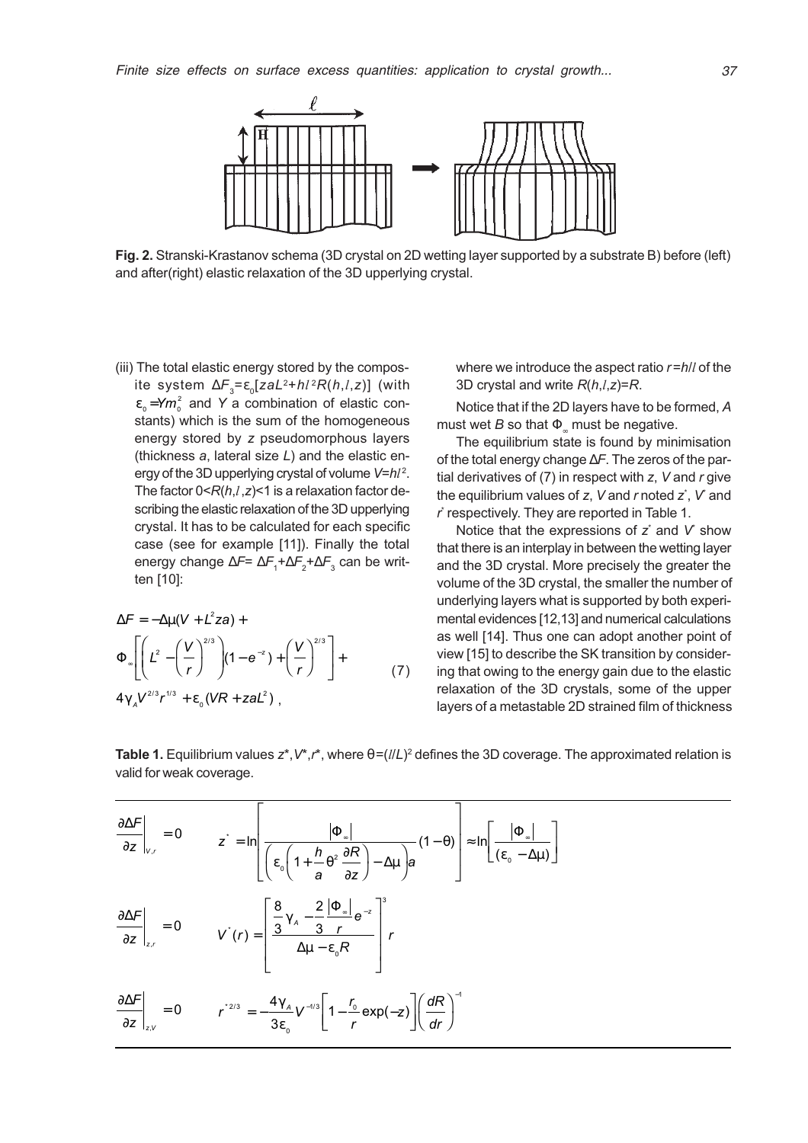

Fig. 2. Stranski-Krastanov schema (3D crystal on 2D wetting layer supported by a substrate B) before (left) and after(right) elastic relaxation of the 3D upperlying crystal.

(iii) The total elastic energy stored by the composite system  $\Delta F = \varepsilon_0 [z a L^2 + h l^2 R(h, l, z)]$  (with  $\varepsilon_{_0}$ =Y $m_{_0}^2$  and Y a combination of elastic constants) which is the sum of the homogeneous energy stored by z pseudomorphous layers (thickness  $a$ , lateral size  $L$ ) and the elastic energy of the 3D upperlying crystal of volume  $V=hl^2$ . The factor  $0 < R(h, l, z) < 1$  is a relaxation factor describing the elastic relaxation of the 3D upperlying crystal. It has to be calculated for each specific case (see for example [11]). Finally the total energy change ∆*F*= ∆ $\mathsf{F_1}$ +∆ $\mathsf{F_2}$ +∆ $\mathsf{F_3}$  can be written [10]:

$$
\Delta F = -\Delta \mu (V + L^2 z a) +
$$
  
\n
$$
\Phi_{\infty} \left[ \left( L^2 - \left( \frac{V}{r} \right)^{2/3} \right) (1 - e^{-z}) + \left( \frac{V}{r} \right)^{2/3} \right] +
$$
  
\n
$$
4 \gamma_A V^{2/3} r^{1/3} + \varepsilon_0 (VR + z a L^2),
$$
\n(7)

where we introduce the aspect ratio  $r=h/l$  of the 3D crystal and write  $R(h,l,z)=R$ .

Notice that if the 2D layers have to be formed, A must wet B so that  $\Phi$  must be negative.

The equilibrium state is found by minimisation of the total energy change ∆F. The zeros of the partial derivatives of  $(7)$  in respect with z, V and  $r$  give the equilibrium values of  $z,$   $V$  and  $r$  noted  $z^\ast,$   $V$  and r \* respectively. They are reported in Table 1.

Notice that the expressions of  $z^*$  and  $V^*$  show that there is an interplay in between the wetting layer and the 3D crystal. More precisely the greater the volume of the 3D crystal, the smaller the number of underlying layers what is supported by both experimental evidences [12,13] and numerical calculations as well [14]. Thus one can adopt another point of view [15] to describe the SK transition by considering that owing to the energy gain due to the elastic relaxation of the 3D crystals, some of the upper layers of a metastable 2D strained film of thickness ,

∂∆ ∂ F  $z \mid_{v,r}$  $= 0$   $z^* = \ln \left| \frac{z^* - z^*}{\sqrt{z^* - z^*}} \right|$ a R z a  $\mathcal{L} = \ln \left[ \frac{\mathcal{L}_{\infty}}{\left( \varepsilon_0 \left( 1 + \frac{h}{a} \theta^2 \frac{\partial R}{\partial z} \right) - \Delta \mu \right) a} (1 - \theta) \right] \approx \ln \left[ \frac{\mathcal{L}_{\infty}}{\left( \varepsilon_0 - \Delta \mu \right)} \right]$  $\overline{C}$ K  $\overline{\mathbb{L}}$  $\overline{\mathsf{L}}$  $\parallel$  $\overline{\phantom{a}}$  $\overline{\phantom{a}}$  $\overline{\mathbb{I}}$  $\overline{\phantom{a}}$  $\begin{array}{c} \begin{array}{c} \begin{array}{c} \end{array} \end{array} \end{array}$  $\overline{\phantom{a}}$  $\overline{\phantom{a}}$  $\overline{\mathbb{L}}$  $\overline{\phantom{a}}$  $\left[\frac{|\Phi_{\infty}|}{(\varepsilon_{\infty}-\Delta\mu)}\right]$  $\Box$ P Φ ∆µ Φ  $\epsilon_0 \left(1 + \frac{h}{\theta^2} \frac{\partial R}{\partial \theta}\right) - \Delta \mu \right)$   $\theta$   $\left[ (\epsilon_0 - \Delta \mu) \right]$ ∂ θ  $\int_{0}^{1} \left(1+\frac{h}{\theta^{2}}\frac{\partial R}{\partial x}\right)-\Delta\mu\right) a$   $\left[\left(\varepsilon_{0}\right)$ 1 ∂∆ ∂ F  $\mathsf{z} \mid_{_{\mathsf{z},\mathsf{r}}}$ = 0  $V^{*}(r) = \frac{\frac{1}{3} \gamma_{A} - \frac{1}{3} \frac{1}{r} e^{r}}{r}$ R  $\begin{array}{c|c} A & 3 & r \\ \hline & & 1 \end{array}$  r z  $\dot{r}(r) =$ − −  $\left[\frac{8}{2} \gamma \right] = \frac{2}{2} \left| \Phi_{\infty} \right| e^{-\frac{2}{3} \left| \Phi_{\infty} \right|}$  $\overline{\mathsf{L}}$  $\parallel$  $\overline{\phantom{a}}$  $\overline{\phantom{a}}$  $\overline{\mathcal{C}}$  $\overline{\phantom{a}}$  $\Bigg\}$  $\overline{\phantom{a}}$  $\overline{\phantom{a}}$ 3 2 3 0 3 γ ε Φ ∆µ ∂∆ ∂ F  $z \big|_{z,v}$  $= 0$   $r^{2/3} = -\frac{4\gamma_A}{r^2} V^{-1/3} \left[ 1 - \frac{r^2}{r^2} \right]$ r z)  $\left| \frac{dR}{dt} \right|$ dr  $t^{2/3} = -\frac{1}{2} I_A V^{-1/3} \left( 1 - \frac{I_0}{2} exp(-z) \right)$ 0  $1/3$  1  $^{1}$  0  $=-\frac{4\gamma_A}{3\epsilon_0}V^{-1/3}\left[1-\frac{r_0}{r}\exp(-z)\right]\left(\frac{dR}{dr}\right)^{-1}$  $\left[1-\frac{r_0}{r}\exp(-z)\right]\left(\frac{dR}{dr}\right)^{-1}$  $\overline{\mathsf{L}}$  $\overline{\phantom{a}}$  $\overline{\phantom{a}}$  $\overline{\phantom{a}}$  $\sqrt{2}$  $\begin{bmatrix} 1 \\ 1 \end{bmatrix}$ γ ε

Table 1. Equilibrium values  $z^*, V^*, r^*$ , where  $\theta = (l/L)^2$  defines the 3D coverage. The approximated relation is valid for weak coverage.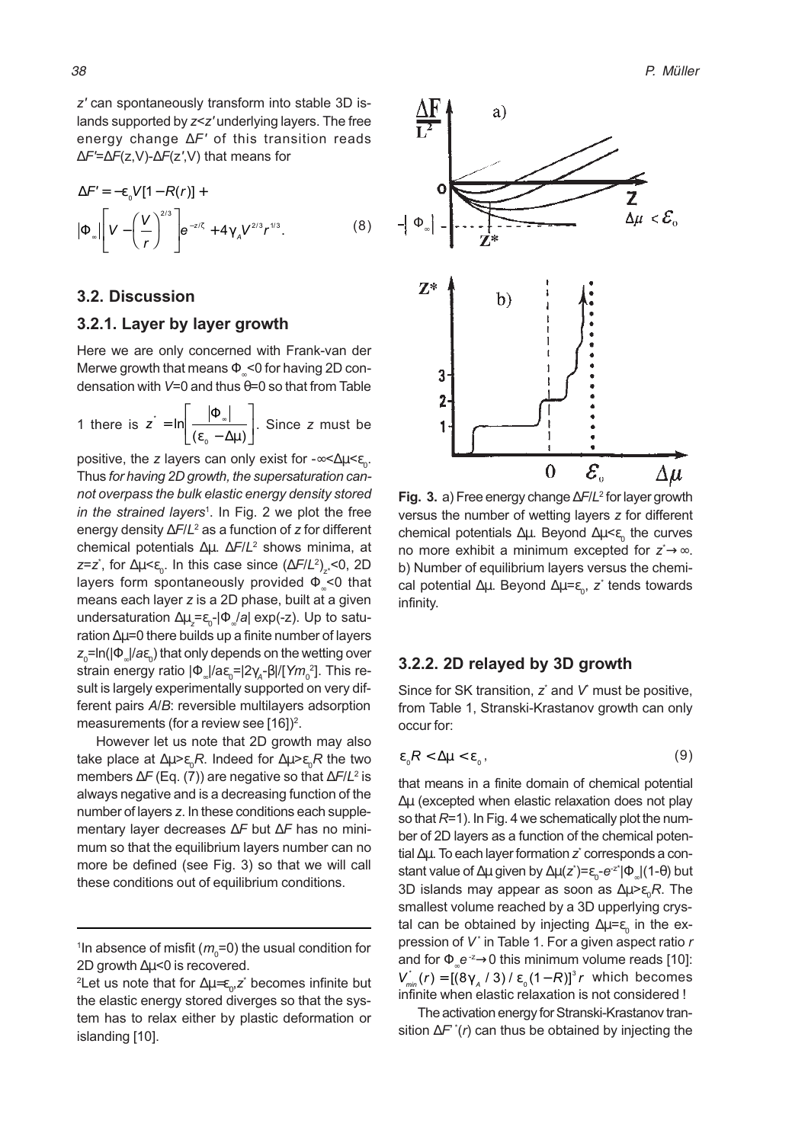z' can spontaneously transform into stable 3D islands supported by  $z < z'$  underlying layers. The free energy change ∆F' of this transition reads ∆F'=∆F(z,V)-∆F(z',V) that means for

$$
\Delta F' = -\varepsilon_0 V[1 - R(r)] +
$$
  
\n
$$
|\Phi_{\infty}| \left[ V - \left(\frac{V}{r}\right)^{2/3} \right] e^{-z/\zeta} + 4\gamma_A V^{2/3} r^{3/3}.
$$
 (8)

#### 3.2. Discussion

#### 3.2.1. Layer by layer growth

Here we are only concerned with Frank-van der Merwe growth that means  $\Phi \leq 0$  for having 2D condensation with  $V=0$  and thus  $\theta=0$  so that from Table

1 there is  $z^* = \ln \left| \frac{1 + z_0}{(\varepsilon_0 - \Delta \mu)} \right|$  $\left[\frac{\left|\Phi_{\infty}\right|}{\left(\varepsilon_{\circ}-\Delta\mu\right)}\right]$  $\overline{\phantom{a}}$  $\begin{array}{c} \end{array}$ P Φ ε<sub>0</sub> – Δμ . Since z must be

positive, the z layers can only exist for -∞<∆µ< $\epsilon_{_0}.$ Thus for having 2D growth, the supersaturation cannot overpass the bulk elastic energy density stored in the strained layers<sup>1</sup>. In Fig. 2 we plot the free energy density ∆*F*/L<sup>2</sup> as a function of *z* for different chemical potentials Δμ. ΔF/L<sup>2</sup> shows minima, at z=z້, for ∆μ<ε $_{0}$ . In this case since (∆*F/L*<sup>2</sup>)<sub>z\*</sub><0, 2D layers form spontaneously provided  $\Phi_{\infty}$ <0 that means each layer z is a 2D phase, built at a given undersaturation  $\Delta \mu_z$ = $\epsilon_{_0}$ -| $\Phi$ ֵ $/a$ | exp(-z). Up to saturation ∆µ=0 there builds up a finite number of layers  $z_{_0}$ =In(| $\Phi$   $_{\!\scriptscriptstyle \rm \sim}$ |/a $\epsilon_{_0}$ ) that only depends on the wetting over strain energy ratio |Φৣ|/a $\varepsilon_{\text{o}}$ =|2 $\gamma_{\text{\tiny A}}$ -β|/[Y $m_{\text{o}}^{\text{~2}}$ ]. This result is largely experimentally supported on very different pairs A/B: reversible multilayers adsorption measurements (for a review see [16])<sup>2</sup>.

However let us note that 2D growth may also take place at ∆μ>ε $_{\rm o}$ R. Indeed for ∆μ>ε $_{\rm o}$ R the two members ∆*F* (Eq. (7)) are negative so that ∆*F*/L<del>'</del> is always negative and is a decreasing function of the number of layers z. In these conditions each supplementary layer decreases ∆F but ∆F has no minimum so that the equilibrium layers number can no more be defined (see Fig. 3) so that we will call these conditions out of equilibrium conditions.



Fig. 3. a) Free energy change ∆F/L<sup>2</sup> for layer growth versus the number of wetting layers z for different chemical potentials ∆μ. Beyond ∆μ< $\epsilon_{_0}$  the curves no more exhibit a minimum excepted for z<sup>\*</sup>→∞. b) Number of equilibrium layers versus the chemical potential ∆μ. Beyond ∆μ= $\varepsilon_{_0}$ , z $^*$  tends towards infinity.

#### 3.2.2. 2D relayed by 3D growth

Since for SK transition,  $z^*$  and  $V$  must be positive, from Table 1, Stranski-Krastanov growth can only occur for:

$$
\varepsilon_{0}R<\Delta\mu<\varepsilon_{0},\qquad(9)
$$

that means in a finite domain of chemical potential ∆µ (excepted when elastic relaxation does not play so that  $R=1$ ). In Fig. 4 we schematically plot the number of 2D layers as a function of the chemical potential ∆µ. To each layer formation z $\dot{\,}$  corresponds a constant value of ∆μ given by ∆μ(z $^*$ )= $\epsilon_{_0}$ - $\mathrm{e}^{\text{-}z^*}$ | $\Phi$   $_{\!\scriptscriptstyle\rm \circ}$ |(1-θ) but 3D islands may appear as soon as ∆µ> $\epsilon_{\scriptscriptstyle{0}}R$ . The smallest volume reached by a 3D upperlying crystal can be obtained by injecting ∆μ= $\varepsilon_{_0}$  in the expression of  $V^*$  in Table 1. For a given aspect ratio  $r$ and for  $\Phi_{\infty} e^{-z} \rightarrow 0$  this minimum volume reads [10]:  $V_{min}^{\dagger}(r) = \left[ \left( 8 \gamma_A / 3 \right) / \varepsilon_0 (1 - R) \right]^3 r$  which becomes infinite when elastic relaxation is not considered !

The activation energy for Stranski-Krastanov transition  $\Delta F^{\dagger}(r)$  can thus be obtained by injecting the

 $^{\mathsf{1}}$ In absence of misfit ( $m_{\scriptscriptstyle 0}^{\mathsf{=}}$ O) the usual condition for 2D growth  $\Delta \mu$ <0 is recovered.

 $^2$ Let us note that for ∆μ=ε $_{\rm o}$ ,z $^*$  becomes infinite but the elastic energy stored diverges so that the system has to relax either by plastic deformation or islanding [10].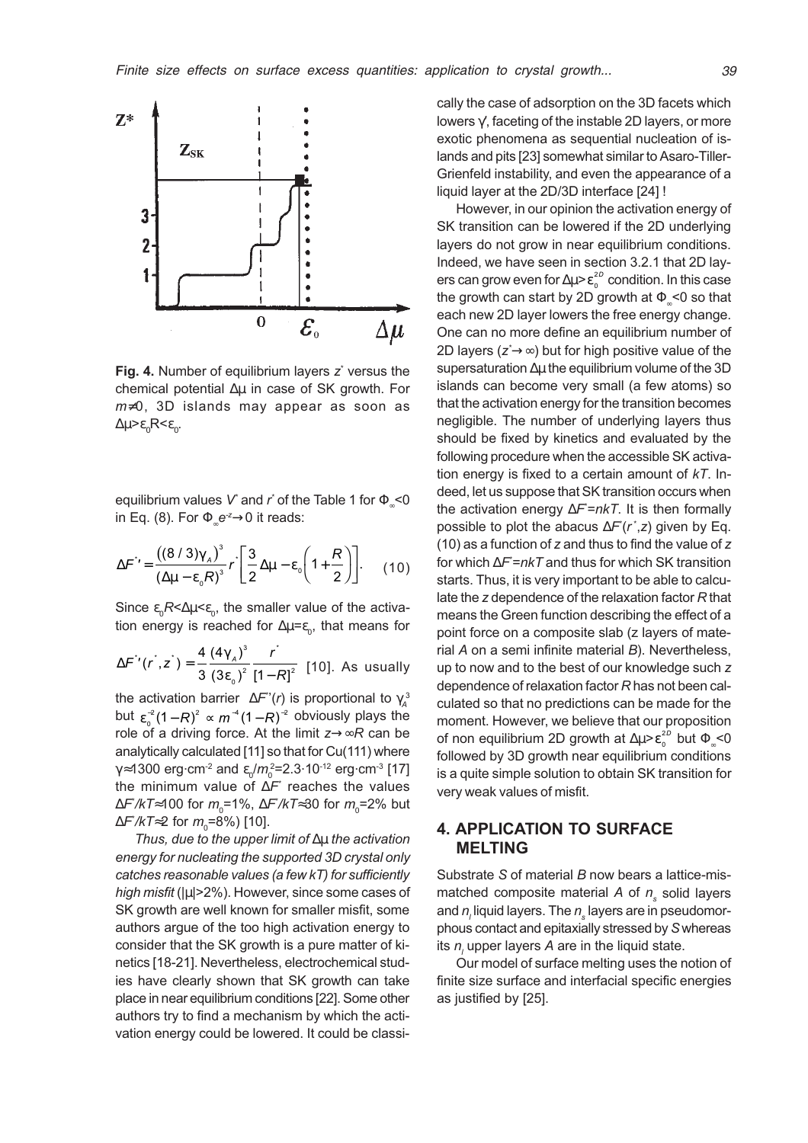

Fig. 4. Number of equilibrium layers  $z^*$  versus the chemical potential ∆µ in case of SK growth. For m≠0, 3D islands may appear as soon as  $\Delta \mu > \varepsilon_{0} R < \varepsilon_{0}.$ 

equilibrium values  $V$  and  $r$  of the Table 1 for  $\Phi_\text{\tiny R}{<}0$ in Eq. (8). For  $\Phi \in \mathbb{R}^2 \rightarrow 0$  it reads:

$$
\Delta F^{\prime} = \frac{((8/3)\gamma_A)^3}{(\Delta \mu - \epsilon_0 R)^3} r \left[ \frac{3}{2} \Delta \mu - \epsilon_0 \left( 1 + \frac{R}{2} \right) \right].
$$
 (10)

Since  $\epsilon_{0}R<\Delta\mu<\epsilon_{0}$ , the smaller value of the activation energy is reached for  $\Delta\mu$ = $\varepsilon_{_0}$ , that means for

$$
\Delta F''(r^*, z^*) = \frac{4}{3} \frac{(4\gamma_A)^3}{(3\epsilon_0)^2} \frac{r^*}{[1 - R]^2}
$$
 [10]. As usually

the activation barrier  $\Delta F''(r)$  is proportional to  $\gamma_A^3$ but  $\varepsilon_0^{-2}(1-R)^2 \propto m^{-4}(1-R)^{-2}$  obviously plays the role of a driving force. At the limit  $z \rightarrow \infty R$  can be analytically calculated [11] so that for Cu(111) where  $γ$ ≈1300 erg $\cdot$ cm $^{-2}$  and  $\varepsilon_0/m_0^2$ =2.3 $\cdot$ 10 $^{-12}$  erg $\cdot$ cm $^{-3}$  [17] the minimum value of ∆F\* reaches the values ∆*F`/kT*≈100 for *m*<sub>0</sub>=1%, ∆*F`/kT*≈30 for *m*<sub>0</sub>=2% but ∆*F`/kT*≈2 for  $m_{\text{o}}$ =8%) [10].

Thus, due to the upper limit of ∆µ the activation energy for nucleating the supported 3D crystal only catches reasonable values (a few kT) for sufficiently high misfit (|µ|>2%). However, since some cases of SK growth are well known for smaller misfit, some authors argue of the too high activation energy to consider that the SK growth is a pure matter of kinetics [18-21]. Nevertheless, electrochemical studies have clearly shown that SK growth can take place in near equilibrium conditions [22]. Some other authors try to find a mechanism by which the activation energy could be lowered. It could be classically the case of adsorption on the 3D facets which lowers γ', faceting of the instable 2D layers, or more exotic phenomena as sequential nucleation of islands and pits [23] somewhat similar to Asaro-Tiller-Grienfeld instability, and even the appearance of a liquid layer at the 2D/3D interface [24] !

However, in our opinion the activation energy of SK transition can be lowered if the 2D underlying layers do not grow in near equilibrium conditions. Indeed, we have seen in section 3.2.1 that 2D layers can grow even for  $\Delta \mu$ > $\varepsilon_o^{^{2D}}$  condition. In this case the growth can start by 2D growth at  $\Phi_{\infty}$  <0 so that each new 2D layer lowers the free energy change. One can no more define an equilibrium number of 2D layers (z<sup>∗</sup>→∞) but for high positive value of the supersaturation ∆µ the equilibrium volume of the 3D islands can become very small (a few atoms) so that the activation energy for the transition becomes negligible. The number of underlying layers thus should be fixed by kinetics and evaluated by the following procedure when the accessible SK activation energy is fixed to a certain amount of  $kT$ . Indeed, let us suppose that SK transition occurs when the activation energy ∆*F* =*nkT*. It is then formally possible to plot the abacus  $\Delta F(r^*, z)$  given by Eq. (10) as a function of z and thus to find the value of z for which ∆*F`=nkT* and thus for which SK transition starts. Thus, it is very important to be able to calculate the z dependence of the relaxation factor R that means the Green function describing the effect of a point force on a composite slab (z layers of material A on a semi infinite material B). Nevertheless, up to now and to the best of our knowledge such z dependence of relaxation factor R has not been calculated so that no predictions can be made for the moment. However, we believe that our proposition of non equilibrium 2D growth at ∆μ> $\varepsilon_0^{2D}$  but  $\Phi_\infty$ <0 followed by 3D growth near equilibrium conditions is a quite simple solution to obtain SK transition for very weak values of misfit.

## 4. APPLICATION TO SURFACE MELTING

Substrate S of material B now bears a lattice-mismatched composite material A of  $n_{\mathrm{s}}$  solid layers and  $n_{_{\!I}}$ liquid layers. The  $n_{_{\!S}}$  layers are in pseudomorphous contact and epitaxially stressed by S whereas its  $n$ , upper layers A are in the liquid state.

Our model of surface melting uses the notion of finite size surface and interfacial specific energies as justified by [25].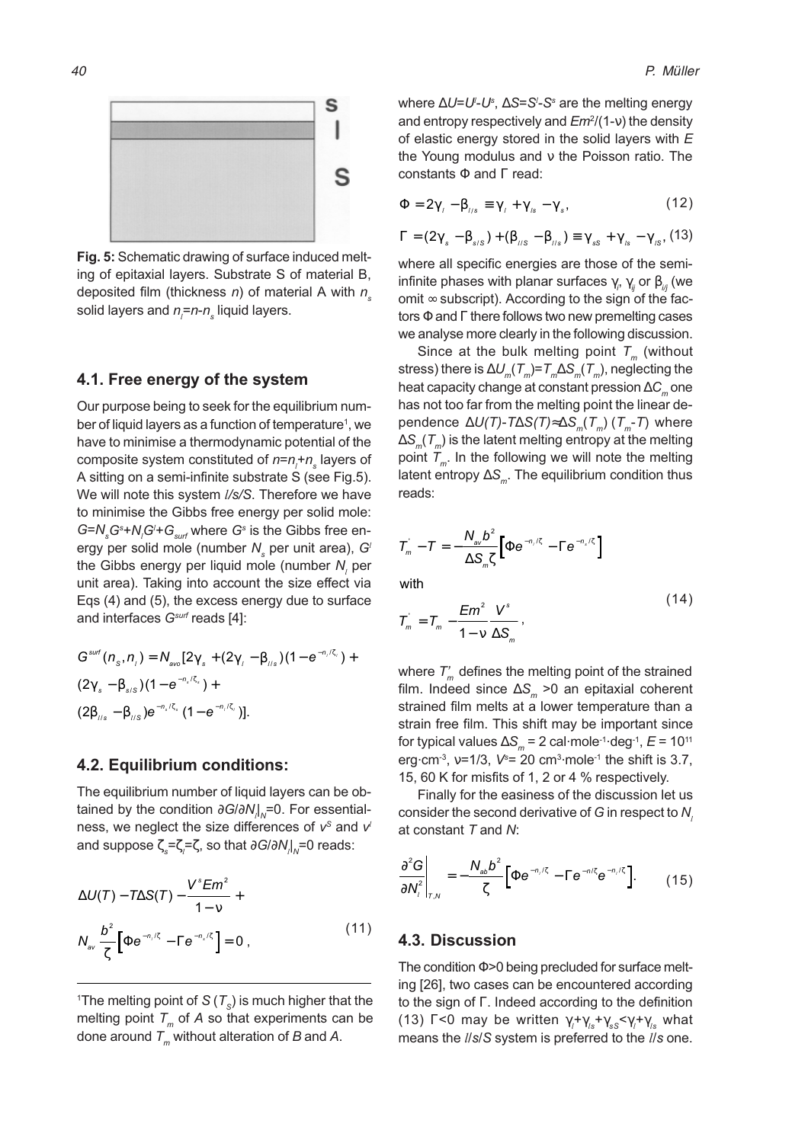

Fig. 5: Schematic drawing of surface induced melting of epitaxial layers. Substrate S of material B, deposited film (thickness  $n$ ) of material A with  $n_s$ solid layers and  $n_{\scriptscriptstyle \! f}$ = $n$ - $n_{\scriptscriptstyle \rm s}$  liquid layers.

#### 4.1. Free energy of the system

Our purpose being to seek for the equilibrium number of liquid layers as a function of temperature<sup>1</sup>, we have to minimise a thermodynamic potential of the composite system constituted of  $n$ = $n_{_{l}}$ + $n_{_{\rm s}}$  layers of A sitting on a semi-infinite substrate S (see Fig.5). We will note this system  $1/s/S$ . Therefore we have to minimise the Gibbs free energy per solid mole:  $G = N_{s} G^{s} + N_{l} G^{\prime} + G_{\textit{surf}}$  where  $G^{s}$  is the Gibbs free energy per solid mole (number  $N_{\tiny \rm s}$  per unit area),  $G^{\prime}$ the Gibbs energy per liquid mole (number  $\boldsymbol{N}_l$  per unit area). Taking into account the size effect via Eqs (4) and (5), the excess energy due to surface and interfaces  $G<sup>surf</sup>$  reads [4]:

$$
G^{surf}(n_{s},n_{i}) = N_{avo}[2\gamma_{s} + (2\gamma_{i} - \beta_{i/s})(1 - e^{-n_{i}/\zeta_{i}}) +
$$
  

$$
(2\gamma_{s} - \beta_{s/s})(1 - e^{-n_{s}/\zeta_{s}}) +
$$
  

$$
(2\beta_{i/s} - \beta_{i/s})e^{-n_{s}/\zeta_{s}}(1 - e^{-n_{i}/\zeta_{i}})].
$$

#### 4.2. Equilibrium conditions:

The equilibrium number of liquid layers can be obtained by the condition ∂G/∂N<sub>/</sub>l<sub>∧</sub>=0. For essentialness, we neglect the size differences of  $v^s$  and  $v^l$ and suppose ζ $_{s}$ =ζ $_{l}$ =ζ, so that  $\partial G/\partial N_{l}|_{\scriptscriptstyle{N}}$ =0 reads:

$$
\Delta U(T) - T\Delta S(T) - \frac{V^s E m^2}{1 - v} + N_{av} \frac{b^2}{\zeta} \left[ \Phi e^{-n/\zeta} - \Gamma e^{-n/\zeta} \right] = 0,
$$
\n(11)

 $^{\mathsf{i}}$ The melting point of S (  $\mathcal{T}_{\text{\tiny S}}$ ) is much higher that the melting point  $T_m$  of A so that experiments can be done around  $T_m$  without alteration of B and A.

where ∆*U=U<sup>∟</sup>U*s, ∆S=S<sup>≀</sup>-S<sup>s</sup> are the melting energy and entropy respectively and *Em*²/(1-ν) the density of elastic energy stored in the solid layers with  $E$ the Young modulus and ν the Poisson ratio. The constants  $\Phi$  and  $\Gamma$  read:

$$
\Phi = 2\gamma_{l} - \beta_{l/s} \equiv \gamma_{l} + \gamma_{ls} - \gamma_{s}, \qquad (12)
$$

$$
\Gamma = (2\gamma_s - \beta_{s/S}) + (\beta_{\scriptscriptstyle I/S} - \beta_{\scriptscriptstyle I/S}) \equiv \gamma_{ss} + \gamma_{\scriptscriptstyle Is} - \gamma_{\scriptscriptstyle IS}, (13)
$$

where all specific energies are those of the semiinfinite phases with planar surfaces  $\gamma_{_{i^{\prime}}} \, \gamma_{_{ij}}$  or  $\beta_{_{i^{\prime}j}}$  (we omit  $\infty$  subscript). According to the sign of the factors  $\Phi$  and  $\Gamma$  there follows two new premelting cases we analyse more clearly in the following discussion.

Since at the bulk melting point  $T_m$  (without stress) there is  $\Delta U_m(T_m)=T_m\Delta S_m(T_m)$ , neglecting the heat capacity change at constant pression  $\Delta C_m$  one has not too far from the melting point the linear dependence  $\Delta U(T)$ -T $\Delta S(T) \approx \Delta S_m(T_m)$  (T<sub>m</sub>-T) where  $\Delta S_m(\mathcal{T}_m)$  is the latent melting entropy at the melting point  $T_m$ . In the following we will note the melting latent entropy  $\Delta S_{m}$ . The equilibrium condition thus reads:

$$
T_m - T = -\frac{N_{\text{av}}b^2}{\Delta S_m \zeta} \Big[ \Phi e^{-n/\zeta} - \Gamma e^{-n_s/\zeta} \Big]
$$

with

$$
\mathcal{T}_m = \mathcal{T}_m - \frac{Em^2}{1 - v} \frac{V^s}{\Delta S_m},\tag{14}
$$

where  $T_m$  defines the melting point of the strained film. Indeed since  $\Delta S_m > 0$  an epitaxial coherent strained film melts at a lower temperature than a strain free film. This shift may be important since for typical values  $\Delta S_{m}$  = 2 cal·mole<sup>-1</sup>·deg<sup>-1</sup>,  $E$  = 10<sup>11</sup> erg $\cdot$ cm<sup>-3</sup>, v=1/3, V<sup>s</sup>= 20 cm<sup>3</sup> $\cdot$ mole<sup>-1</sup> the shift is 3.7, 15, 60 K for misfits of 1, 2 or 4 % respectively.

Finally for the easiness of the discussion let us consider the second derivative of  $G$  in respect to  $N$ , at constant T and N:

$$
\left. \frac{\partial^2 G}{\partial N_i^2} \right|_{T,N} = -\frac{N_{ab} b^2}{\zeta} \left[ \Phi e^{-n_i/\zeta} - \Gamma e^{-n/\zeta} e^{-n_i/\zeta} \right]. \tag{15}
$$

#### 4.3. Discussion

The condition Φ>0 being precluded for surface melting [26], two cases can be encountered according to the sign of Γ. Indeed according to the definition (13) Γ<0 may be written  $\gamma_i$ + $\gamma_{_{ls}}$ + $\gamma_{_{sS}}$ < $\gamma_i$ + $\gamma_{_{ls}}$  what means the  $1/s/S$  system is preferred to the  $1/s$  one.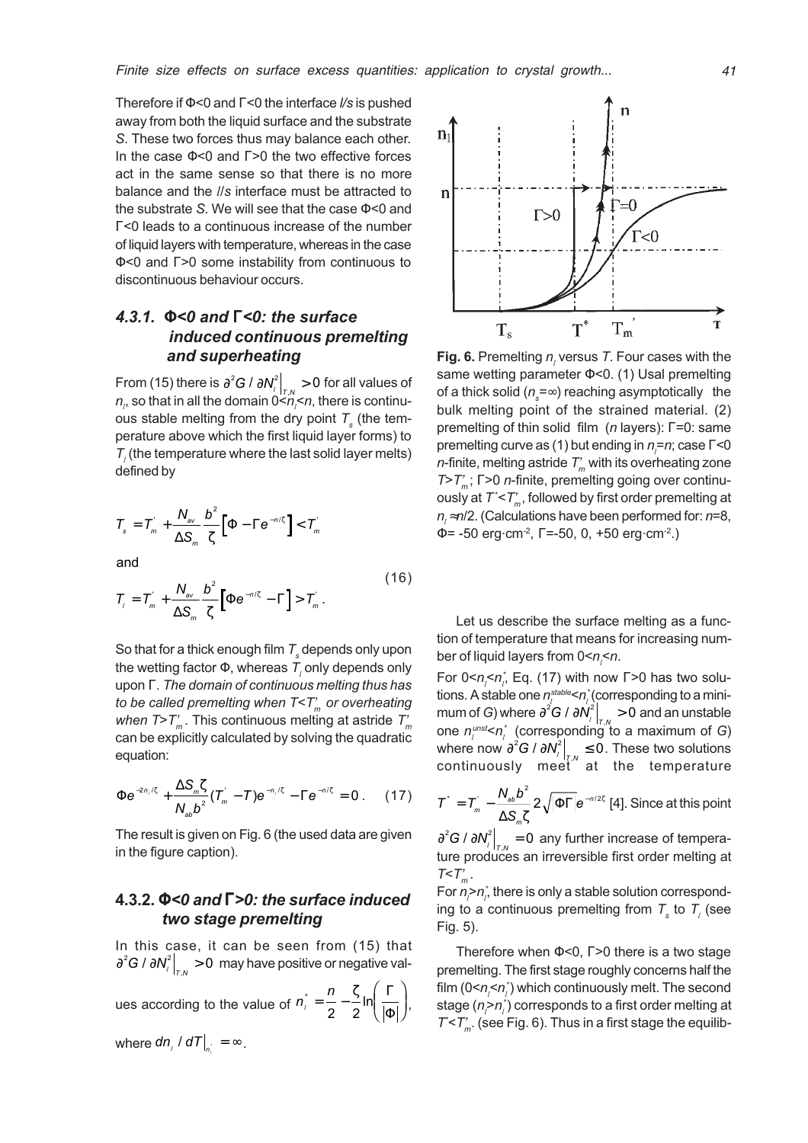Therefore if  $\Phi$ <0 and  $\Gamma$ <0 the interface  $\ell$ /s is pushed away from both the liquid surface and the substrate S. These two forces thus may balance each other. In the case Φ<0 and Γ>0 the two effective forces act in the same sense so that there is no more balance and the *l/s* interface must be attracted to the substrate S. We will see that the case  $\Phi$ <0 and Γ<0 leads to a continuous increase of the number of liquid layers with temperature, whereas in the case Φ<0 and Γ>0 some instability from continuous to discontinuous behaviour occurs.

## 4.3.1. Φ<0 and Γ<0: the surface induced continuous premelting and superheating

From (15) there is  $\left.\partial^2 G \, / \, \partial \mathcal{N}^2_{\cdot} \right|_{\tau, N} > 0$  for all values of  $n_{_{\!P}}$  so that in all the domain 0< $n_{_{\!P}}$ <  $n$ , there is continuous stable melting from the dry point  $\mathcal{T}_{\text{\tiny s}}$  (the temperature above which the first liquid layer forms) to  $\mathcal{T}_{\textit{l}}$  (the temperature where the last solid layer melts) defined by

$$
T_s = T_m + \frac{N_{\text{av}}}{\Delta S_m} \frac{b^2}{\zeta} \left[ \Phi - \Gamma e^{-n/\zeta} \right] < T_m
$$

and

$$
T_{l} = T_{m}^{'} + \frac{N_{av}}{\Delta S_{m}} \frac{b^{2}}{\zeta} \Big[ \Phi e^{-n/\zeta} - \Gamma \Big] > T_{m}^{'}.
$$
 (16)

So that for a thick enough film  $\mathcal{T}_{\mathrm{s}}$  depends only upon the wetting factor  $\Phi$ , whereas  $\mathcal{T}_{_{l}}$ only depends only upon Γ. The domain of continuous melting thus has to be called premelting when  $T < T<sub>m</sub>$  or overheating when  $T>T_{m}$ . This continuous melting at astride  $T_{m}$ can be explicitly calculated by solving the quadratic equation:

$$
\Phi e^{-2n_1/\zeta} + \frac{\Delta S_m \zeta}{N_{ab} b^2} (\overline{T}_m - \overline{T}) e^{-n_1/\zeta} - \Gamma e^{-n/\zeta} = 0. \quad (17)
$$

The result is given on Fig. 6 (the used data are given in the figure caption).

## 4.3.2. Φ<0 and Γ>0: the surface induced two stage premelting

In this case, it can be seen from (15) that  $\partial^2 \bm{G}$  /  $\partial \bm{N}_{\! \! \ell}^2 \big|_{\mathcal{T},N} > 0 \,$  may have positive or negative val-

ues according to the value of  $n_i^* = \frac{n}{2}$ l  $\int_{0}^{4} = \frac{n}{2} - \frac{\zeta}{2} \ln \left( \frac{\Gamma}{|\Phi|} \right)$  $\overline{\mathcal{L}}$ K  $\overline{\Phi}$  ),

where  $dn_{\scriptscriptstyle \perp}$  /  $dT \big|_{n_{\scriptscriptstyle \perp}} = \infty$  .



**Fig. 6.** Premelting  $n_i$  versus T. Four cases with the same wetting parameter Φ<0. (1) Usal premelting of a thick solid ( $n_{\rm s}$ =∞) reaching asymptotically  $\,$  the bulk melting point of the strained material. (2) premelting of thin solid film (*n* layers):  $Γ=0$ : same premelting curve as (1) but ending in  $n_{\scriptscriptstyle \! /}^{}$ = $n$ ; case Γ<0 *n*-finite, melting astride  $T<sub>m</sub>$  with its overheating zone  $T>T<sub>m</sub>$ ; Γ>0 *n*-finite, premelting going over continuously at  $\mathcal{T}^*\!\!\leq\!\! T_m'$ , followed by first order premelting at  $n \approx n/2$ . (Calculations have been performed for:  $n=8$ ,  $\dot{\Phi}$ = -50 erg·cm<sup>-2</sup>,  $\Gamma$ =-50, 0, +50 erg·cm<sup>-2</sup>.)

Let us describe the surface melting as a function of temperature that means for increasing number of liquid layers from 0<*n<sub>¦</sub><n*.

For 0< $n_{i}$ < $n_{i}$ , Eq. (17) with now Γ>0 has two solutions. A stable one  $\eta^{\textit{stable}}_{\scriptscriptstyle{I}}$  <  $\eta^{\ast}_{\scriptscriptstyle{I}}$  (corresponding to a minimum of G) where  $\left.\partial^2 G \, / \, \partial N^2_t\right|_{\tau, N} > 0$  and an unstable one  $n_{l}^{\textit{unst}}$ < $n_{l}^{\star}$  (corresponding to a maximum of G) where now  $\left.\partial^2 G \, / \, \partial N^2_t\right|_{\tau, \text{{\tiny $N$}}}\leq 0$  . These two solutions continuously meet at the temperature

$$
T^* = T_m - \frac{N_{ab}b^2}{\Delta S_m \zeta} 2\sqrt{|\Phi\Gamma|}e^{-n/2\zeta}
$$
 [4]. Since at this point

 $\left.\frac{\partial^2 G}{\partial N_i^2}\right|_{T,N} = 0$  any further increase of temperature produces an irreversible first order melting at  $T < T'_{\ldots}$ .

For  $n_{\scriptscriptstyle\!f}^{\scriptscriptstyle >}$ n $_{\scriptscriptstyle\!f}^{\scriptscriptstyle *}$  there is only a stable solution corresponding to a continuous premelting from  $\mathcal{T}_s$  to  $\mathcal{T}_l$  (see Fig. 5).

Therefore when Φ<0, Γ>0 there is a two stage premelting. The first stage roughly concerns half the film (0< $n_{_{l}}$ < $n_{_{l}}^{\ast}$ ) which continuously melt. The second stage ( $n_{\scriptscriptstyle \!f}$ > $n_{\scriptscriptstyle \!f}^*$ ) corresponds to a first order melting at  $T<sub>m</sub>$ . (see Fig. 6). Thus in a first stage the equilib